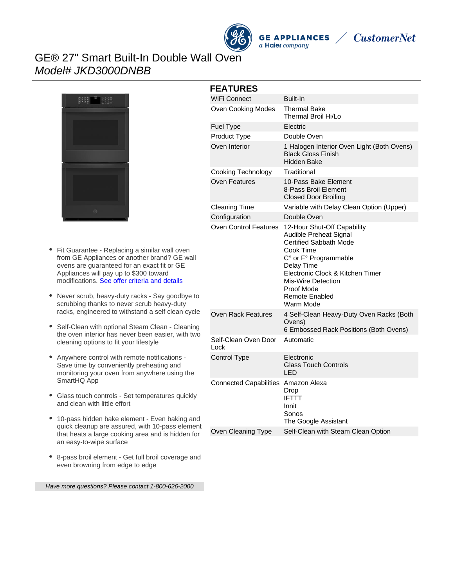

**GE APPLIANCES** a Haier company



# GE® 27" Smart Built-In Double Wall Oven Model# JKD3000DNBB



- Fit Guarantee Replacing a similar wall oven from GE Appliances or another brand? GE wall ovens are guaranteed for an exact fit or GE Appliances will pay up to \$300 toward modifications. [See offer criteria and details](http://www.geappliances.com/ge-fits)
- Never scrub, heavy-duty racks Say goodbye to scrubbing thanks to never scrub heavy-duty racks, engineered to withstand a self clean cycle
- Self-Clean with optional Steam Clean Cleaning the oven interior has never been easier, with two cleaning options to fit your lifestyle
- Anywhere control with remote notifications Save time by conveniently preheating and monitoring your oven from anywhere using the SmartHQ App
- Glass touch controls Set temperatures quickly and clean with little effort
- 10-pass hidden bake element Even baking and quick cleanup are assured, with 10-pass element that heats a large cooking area and is hidden for an easy-to-wipe surface
- 8-pass broil element Get full broil coverage and even browning from edge to edge

Have more questions? Please contact 1-800-626-2000

| <b>FEATURES</b> |                               |                                                                                                                                                                                                                                                          |
|-----------------|-------------------------------|----------------------------------------------------------------------------------------------------------------------------------------------------------------------------------------------------------------------------------------------------------|
|                 | WiFi Connect                  | <b>Built-In</b>                                                                                                                                                                                                                                          |
|                 | Oven Cooking Modes            | Thermal Bake<br>Thermal Broil Hi/Lo                                                                                                                                                                                                                      |
|                 | Fuel Type                     | Electric                                                                                                                                                                                                                                                 |
|                 | Product Type                  | Double Oven                                                                                                                                                                                                                                              |
|                 | Oven Interior                 | 1 Halogen Interior Oven Light (Both Ovens)<br><b>Black Gloss Finish</b><br>Hidden Bake                                                                                                                                                                   |
|                 | Cooking Technology            | Traditional                                                                                                                                                                                                                                              |
|                 | Oven Features                 | 10-Pass Bake Element<br>8-Pass Broil Element<br><b>Closed Door Broiling</b>                                                                                                                                                                              |
|                 | <b>Cleaning Time</b>          | Variable with Delay Clean Option (Upper)                                                                                                                                                                                                                 |
|                 | Configuration                 | Double Oven                                                                                                                                                                                                                                              |
|                 | Oven Control Features         | 12-Hour Shut-Off Capability<br>Audible Preheat Signal<br><b>Certified Sabbath Mode</b><br>Cook Time<br>C° or F° Programmable<br>Delay Time<br>Electronic Clock & Kitchen Timer<br>Mis-Wire Detection<br>Proof Mode<br><b>Remote Enabled</b><br>Warm Mode |
|                 | Oven Rack Features            | 4 Self-Clean Heavy-Duty Oven Racks (Both<br>Ovens)<br>6 Embossed Rack Positions (Both Ovens)                                                                                                                                                             |
|                 | Self-Clean Oven Door<br>Lock  | Automatic                                                                                                                                                                                                                                                |
|                 | <b>Control Type</b>           | Electronic<br><b>Glass Touch Controls</b><br>LED                                                                                                                                                                                                         |
|                 | <b>Connected Capabilities</b> | Amazon Alexa<br>Drop<br><b>IFTTT</b><br>Innit<br>Sonos<br>The Google Assistant                                                                                                                                                                           |

Oven Cleaning Type Self-Clean with Steam Clean Option